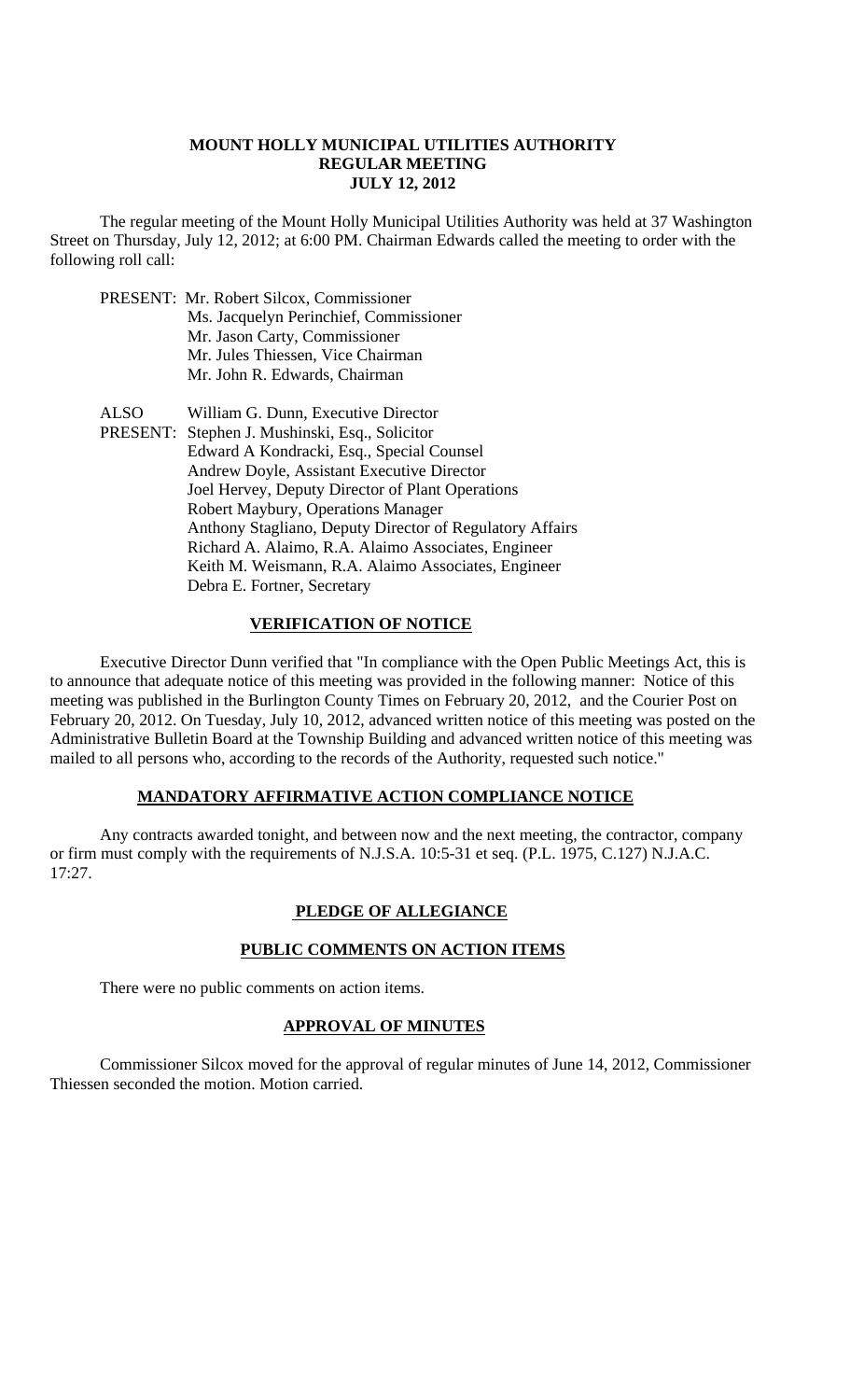#### **MOUNT HOLLY MUNICIPAL UTILITIES AUTHORITY REGULAR MEETING JULY 12, 2012**

 The regular meeting of the Mount Holly Municipal Utilities Authority was held at 37 Washington Street on Thursday, July 12, 2012; at 6:00 PM. Chairman Edwards called the meeting to order with the following roll call:

- PRESENT: Mr. Robert Silcox, Commissioner Ms. Jacquelyn Perinchief, Commissioner Mr. Jason Carty, Commissioner Mr. Jules Thiessen, Vice Chairman Mr. John R. Edwards, Chairman ALSO William G. Dunn, Executive Director
- PRESENT: Stephen J. Mushinski, Esq., Solicitor Edward A Kondracki, Esq., Special Counsel Andrew Doyle, Assistant Executive Director Joel Hervey, Deputy Director of Plant Operations Robert Maybury, Operations Manager Anthony Stagliano, Deputy Director of Regulatory Affairs Richard A. Alaimo, R.A. Alaimo Associates, Engineer Keith M. Weismann, R.A. Alaimo Associates, Engineer Debra E. Fortner, Secretary

## **VERIFICATION OF NOTICE**

 Executive Director Dunn verified that "In compliance with the Open Public Meetings Act, this is to announce that adequate notice of this meeting was provided in the following manner: Notice of this meeting was published in the Burlington County Times on February 20, 2012, and the Courier Post on February 20, 2012. On Tuesday, July 10, 2012, advanced written notice of this meeting was posted on the Administrative Bulletin Board at the Township Building and advanced written notice of this meeting was mailed to all persons who, according to the records of the Authority, requested such notice."

#### **MANDATORY AFFIRMATIVE ACTION COMPLIANCE NOTICE**

 Any contracts awarded tonight, and between now and the next meeting, the contractor, company or firm must comply with the requirements of N.J.S.A. 10:5-31 et seq. (P.L. 1975, C.127) N.J.A.C. 17:27.

## **PLEDGE OF ALLEGIANCE**

#### **PUBLIC COMMENTS ON ACTION ITEMS**

There were no public comments on action items.

#### **APPROVAL OF MINUTES**

Commissioner Silcox moved for the approval of regular minutes of June 14, 2012, Commissioner Thiessen seconded the motion. Motion carried.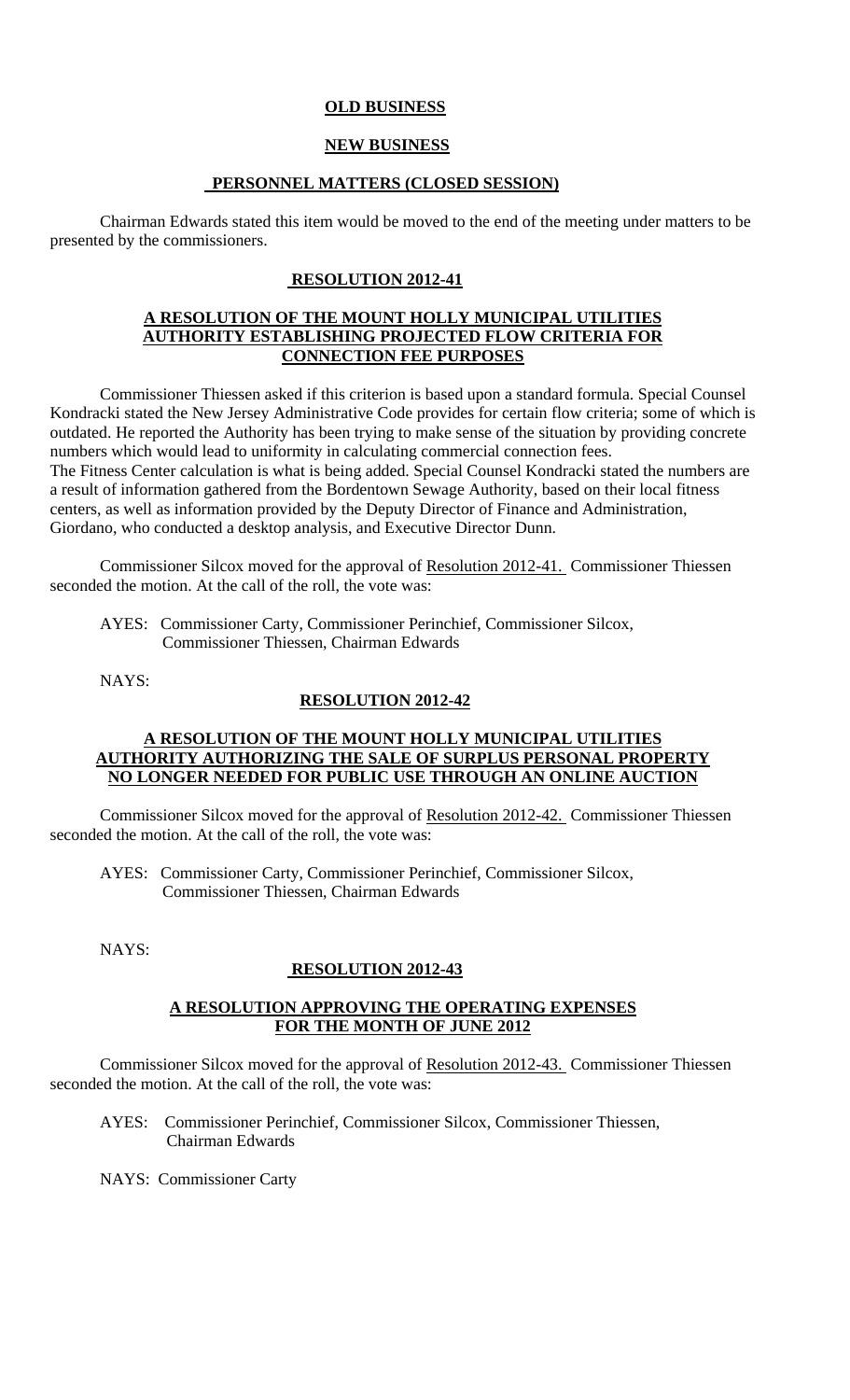## **OLD BUSINESS**

## **NEW BUSINESS**

### **PERSONNEL MATTERS (CLOSED SESSION)**

Chairman Edwards stated this item would be moved to the end of the meeting under matters to be presented by the commissioners.

### **RESOLUTION 2012-41**

#### **A RESOLUTION OF THE MOUNT HOLLY MUNICIPAL UTILITIES AUTHORITY ESTABLISHING PROJECTED FLOW CRITERIA FOR CONNECTION FEE PURPOSES**

Commissioner Thiessen asked if this criterion is based upon a standard formula. Special Counsel Kondracki stated the New Jersey Administrative Code provides for certain flow criteria; some of which is outdated. He reported the Authority has been trying to make sense of the situation by providing concrete numbers which would lead to uniformity in calculating commercial connection fees. The Fitness Center calculation is what is being added. Special Counsel Kondracki stated the numbers are a result of information gathered from the Bordentown Sewage Authority, based on their local fitness centers, as well as information provided by the Deputy Director of Finance and Administration, Giordano, who conducted a desktop analysis, and Executive Director Dunn.

Commissioner Silcox moved for the approval of Resolution 2012-41. Commissioner Thiessen seconded the motion. At the call of the roll, the vote was:

 AYES: Commissioner Carty, Commissioner Perinchief, Commissioner Silcox, Commissioner Thiessen, Chairman Edwards

NAYS:

#### **RESOLUTION 2012-42**

#### **A RESOLUTION OF THE MOUNT HOLLY MUNICIPAL UTILITIES AUTHORITY AUTHORIZING THE SALE OF SURPLUS PERSONAL PROPERTY NO LONGER NEEDED FOR PUBLIC USE THROUGH AN ONLINE AUCTION**

Commissioner Silcox moved for the approval of Resolution 2012-42. Commissioner Thiessen seconded the motion. At the call of the roll, the vote was:

 AYES: Commissioner Carty, Commissioner Perinchief, Commissioner Silcox, Commissioner Thiessen, Chairman Edwards

NAYS:

## **RESOLUTION 2012-43**

#### **A RESOLUTION APPROVING THE OPERATING EXPENSES FOR THE MONTH OF JUNE 2012**

Commissioner Silcox moved for the approval of Resolution 2012-43. Commissioner Thiessen seconded the motion. At the call of the roll, the vote was:

 AYES: Commissioner Perinchief, Commissioner Silcox, Commissioner Thiessen, Chairman Edwards

NAYS: Commissioner Carty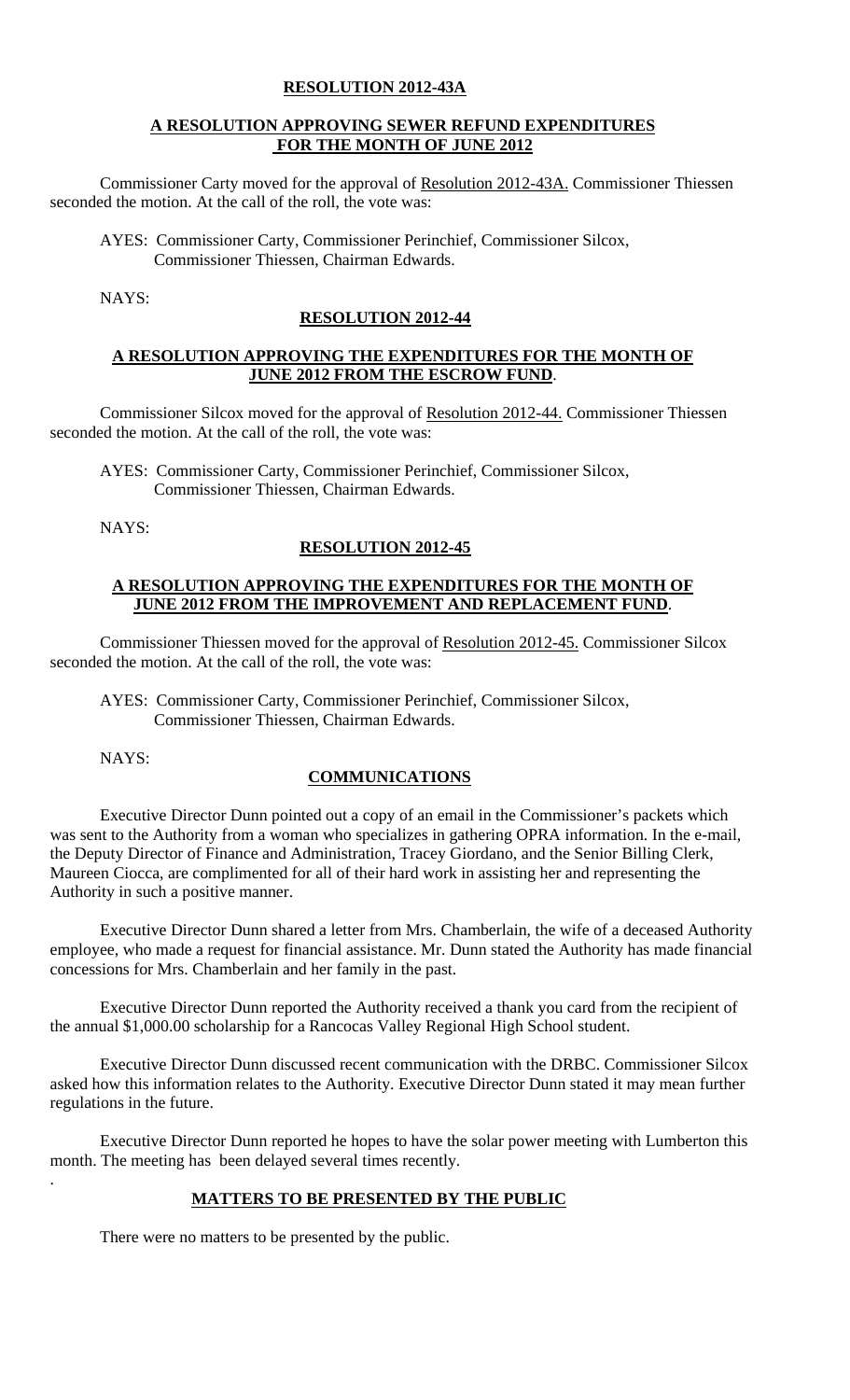#### **RESOLUTION 2012-43A**

#### **A RESOLUTION APPROVING SEWER REFUND EXPENDITURES FOR THE MONTH OF JUNE 2012**

Commissioner Carty moved for the approval of Resolution 2012-43A. Commissioner Thiessen seconded the motion. At the call of the roll, the vote was:

AYES: Commissioner Carty, Commissioner Perinchief, Commissioner Silcox, Commissioner Thiessen, Chairman Edwards.

NAYS:

#### **RESOLUTION 2012-44**

## **A RESOLUTION APPROVING THE EXPENDITURES FOR THE MONTH OF JUNE 2012 FROM THE ESCROW FUND**.

Commissioner Silcox moved for the approval of Resolution 2012-44. Commissioner Thiessen seconded the motion. At the call of the roll, the vote was:

AYES: Commissioner Carty, Commissioner Perinchief, Commissioner Silcox, Commissioner Thiessen, Chairman Edwards.

NAYS:

## **RESOLUTION 2012-45**

## **A RESOLUTION APPROVING THE EXPENDITURES FOR THE MONTH OF JUNE 2012 FROM THE IMPROVEMENT AND REPLACEMENT FUND**.

Commissioner Thiessen moved for the approval of Resolution 2012-45. Commissioner Silcox seconded the motion. At the call of the roll, the vote was:

AYES: Commissioner Carty, Commissioner Perinchief, Commissioner Silcox, Commissioner Thiessen, Chairman Edwards.

NAYS:

.

## **COMMUNICATIONS**

 Executive Director Dunn pointed out a copy of an email in the Commissioner's packets which was sent to the Authority from a woman who specializes in gathering OPRA information. In the e-mail, the Deputy Director of Finance and Administration, Tracey Giordano, and the Senior Billing Clerk, Maureen Ciocca, are complimented for all of their hard work in assisting her and representing the Authority in such a positive manner.

 Executive Director Dunn shared a letter from Mrs. Chamberlain, the wife of a deceased Authority employee, who made a request for financial assistance. Mr. Dunn stated the Authority has made financial concessions for Mrs. Chamberlain and her family in the past.

 Executive Director Dunn reported the Authority received a thank you card from the recipient of the annual \$1,000.00 scholarship for a Rancocas Valley Regional High School student.

 Executive Director Dunn discussed recent communication with the DRBC. Commissioner Silcox asked how this information relates to the Authority. Executive Director Dunn stated it may mean further regulations in the future.

 Executive Director Dunn reported he hopes to have the solar power meeting with Lumberton this month. The meeting has been delayed several times recently.

# **MATTERS TO BE PRESENTED BY THE PUBLIC**

There were no matters to be presented by the public.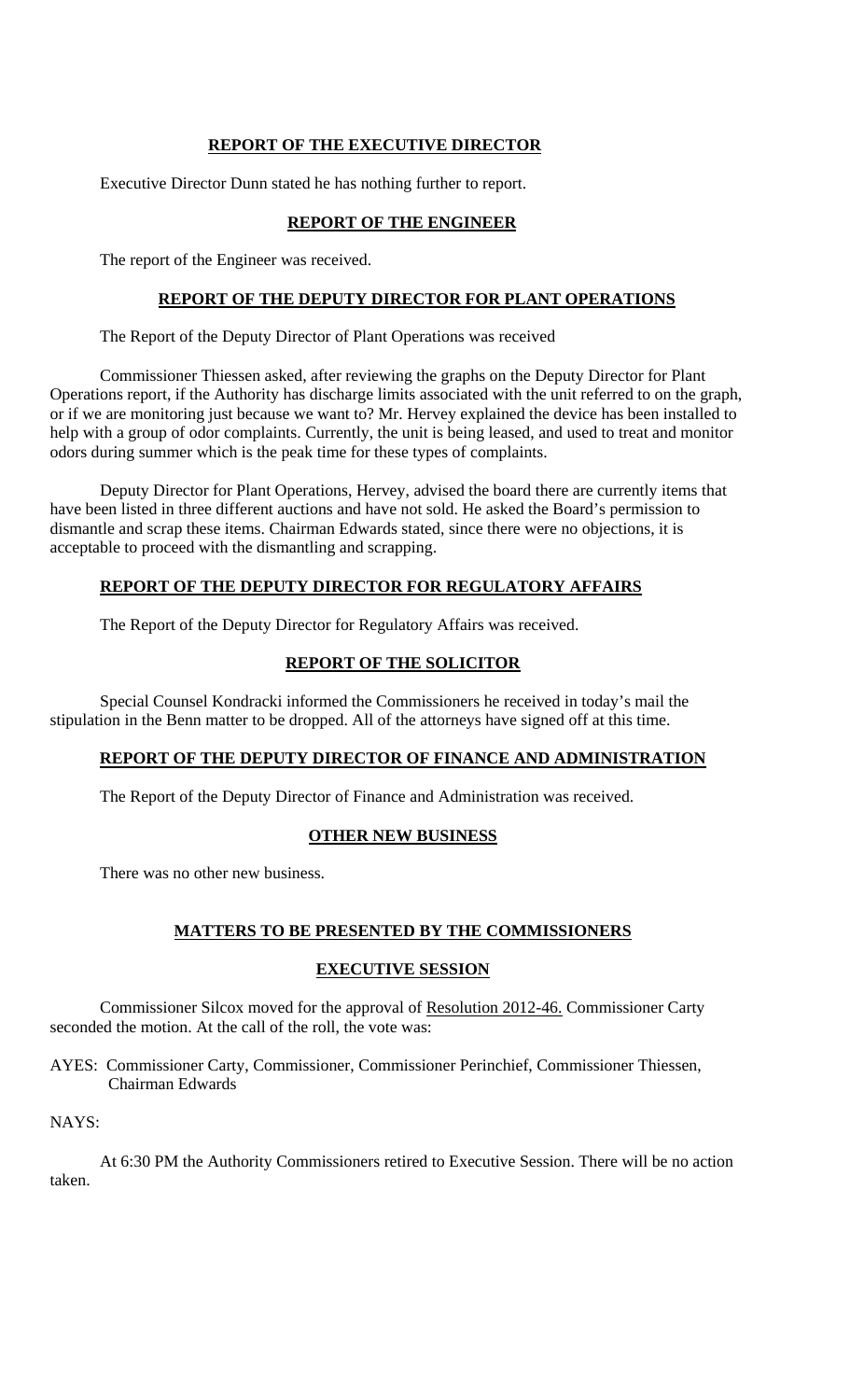## **REPORT OF THE EXECUTIVE DIRECTOR**

Executive Director Dunn stated he has nothing further to report.

## **REPORT OF THE ENGINEER**

The report of the Engineer was received.

## **REPORT OF THE DEPUTY DIRECTOR FOR PLANT OPERATIONS**

The Report of the Deputy Director of Plant Operations was received

Commissioner Thiessen asked, after reviewing the graphs on the Deputy Director for Plant Operations report, if the Authority has discharge limits associated with the unit referred to on the graph, or if we are monitoring just because we want to? Mr. Hervey explained the device has been installed to help with a group of odor complaints. Currently, the unit is being leased, and used to treat and monitor odors during summer which is the peak time for these types of complaints.

 Deputy Director for Plant Operations, Hervey, advised the board there are currently items that have been listed in three different auctions and have not sold. He asked the Board's permission to dismantle and scrap these items. Chairman Edwards stated, since there were no objections, it is acceptable to proceed with the dismantling and scrapping.

# **REPORT OF THE DEPUTY DIRECTOR FOR REGULATORY AFFAIRS**

The Report of the Deputy Director for Regulatory Affairs was received.

# **REPORT OF THE SOLICITOR**

Special Counsel Kondracki informed the Commissioners he received in today's mail the stipulation in the Benn matter to be dropped. All of the attorneys have signed off at this time.

## **REPORT OF THE DEPUTY DIRECTOR OF FINANCE AND ADMINISTRATION**

The Report of the Deputy Director of Finance and Administration was received.

## **OTHER NEW BUSINESS**

There was no other new business.

# **MATTERS TO BE PRESENTED BY THE COMMISSIONERS**

## **EXECUTIVE SESSION**

Commissioner Silcox moved for the approval of Resolution 2012-46. Commissioner Carty seconded the motion. At the call of the roll, the vote was:

AYES: Commissioner Carty, Commissioner, Commissioner Perinchief, Commissioner Thiessen, Chairman Edwards

NAYS:

At 6:30 PM the Authority Commissioners retired to Executive Session. There will be no action taken.